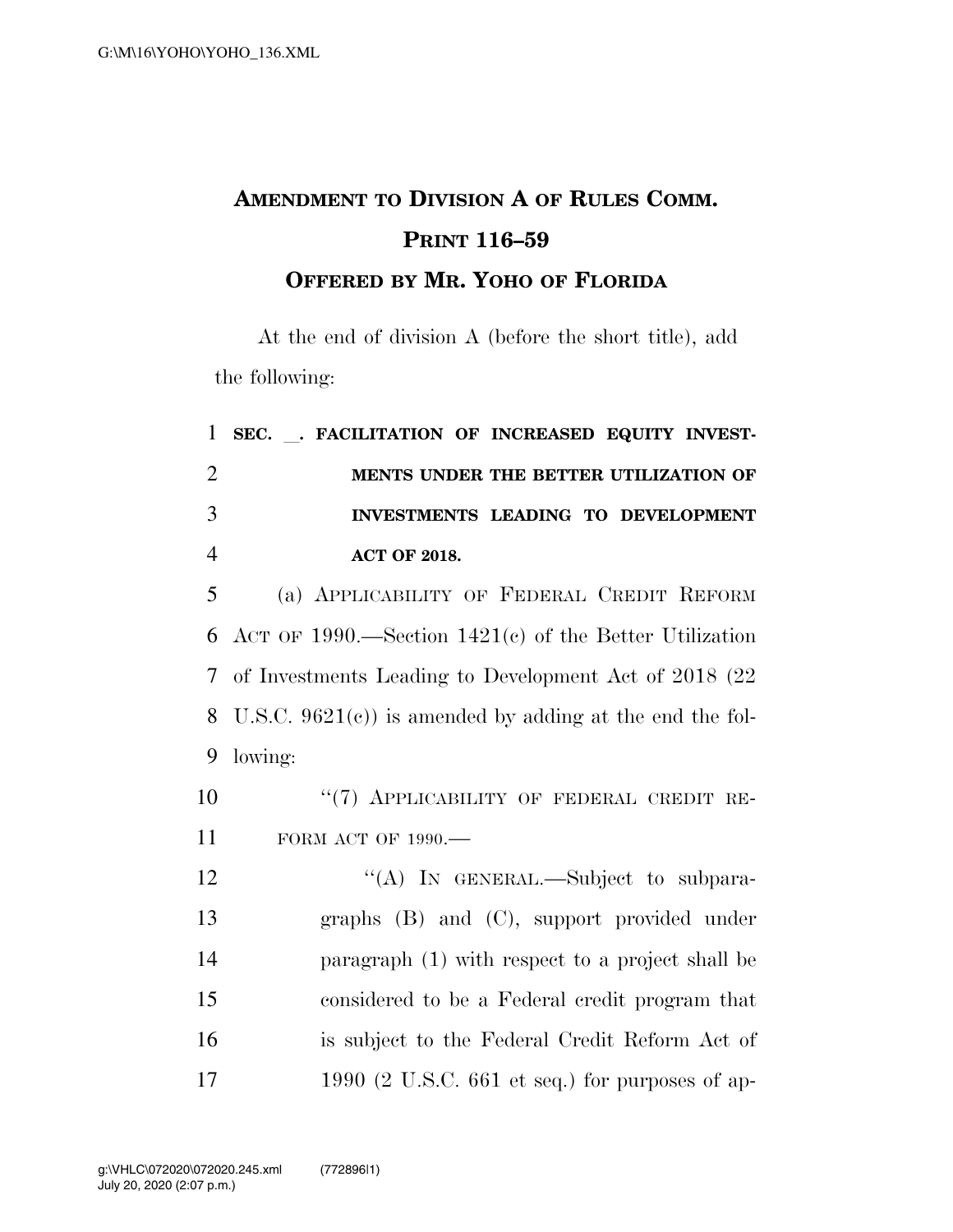## **AMENDMENT TO DIVISION A OF RULES COMM. PRINT 116–59**

## **OFFERED BY MR. YOHO OF FLORIDA**

At the end of division A (before the short title), add the following:

|                | 1 SEC. . FACILITATION OF INCREASED EQUITY INVEST- |  |  |
|----------------|---------------------------------------------------|--|--|
| $\overline{2}$ | MENTS UNDER THE BETTER UTILIZATION OF             |  |  |
| 3              | INVESTMENTS LEADING TO DEVELOPMENT                |  |  |
| 4              | <b>ACT OF 2018.</b>                               |  |  |

 (a) APPLICABILITY OF FEDERAL CREDIT REFORM ACT OF 1990.—Section 1421(c) of the Better Utilization of Investments Leading to Development Act of 2018 (22 U.S.C. 9621(c)) is amended by adding at the end the fol-9 lowing:

10 "(7) APPLICABILITY OF FEDERAL CREDIT RE-11 FORM ACT OF 1990.—

12 "(A) In GENERAL.—Subject to subpara- graphs (B) and (C), support provided under paragraph (1) with respect to a project shall be considered to be a Federal credit program that is subject to the Federal Credit Reform Act of 1990 (2 U.S.C. 661 et seq.) for purposes of ap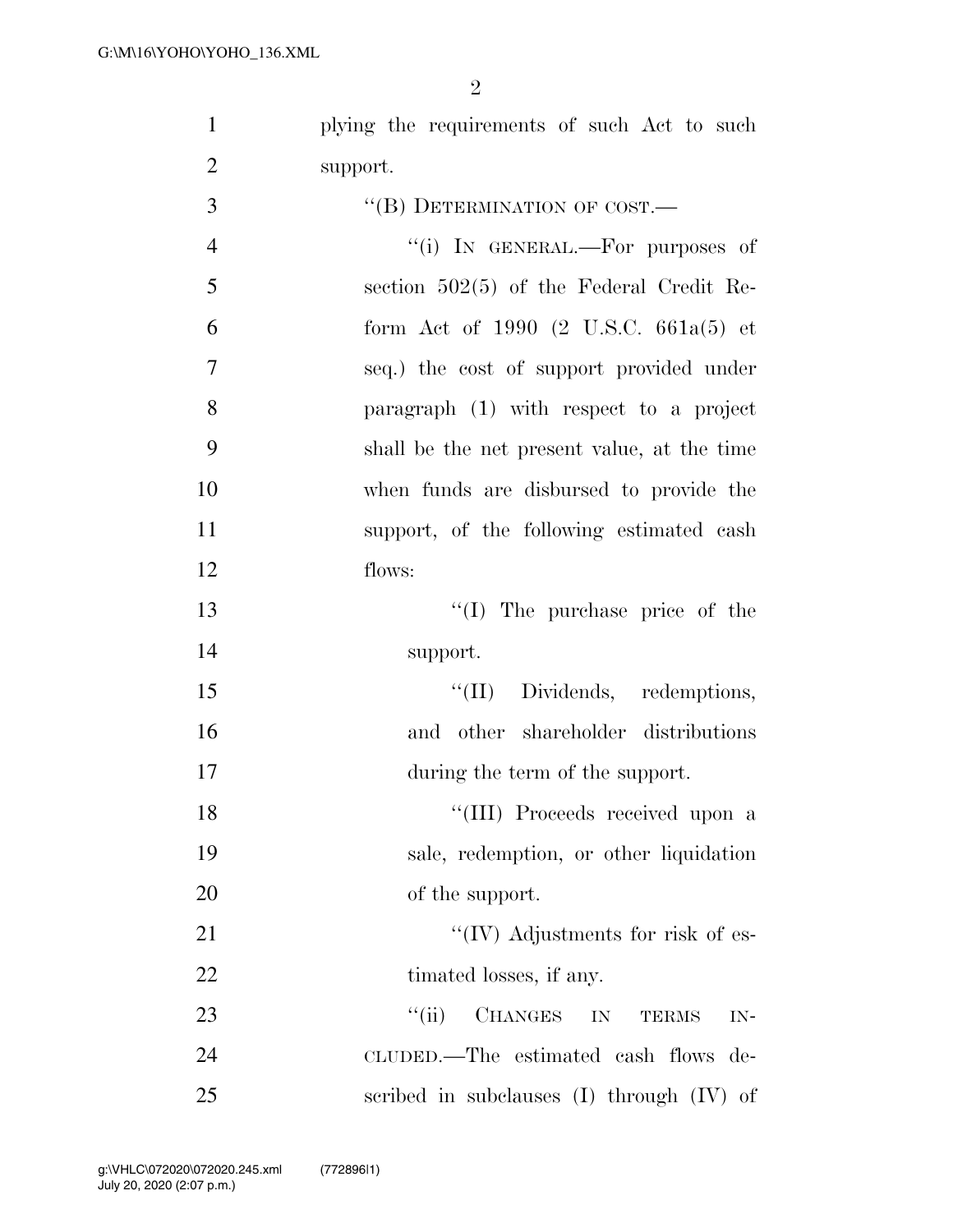plying the requirements of such Act to such support.

| 3              | "(B) DETERMINATION OF COST.—                              |
|----------------|-----------------------------------------------------------|
| $\overline{4}$ | "(i) IN GENERAL.—For purposes of                          |
| 5              | section $502(5)$ of the Federal Credit Re-                |
| 6              | form Act of 1990 $(2 \text{ U.S.C. } 661a(5) \text{ et }$ |
| $\overline{7}$ | seq.) the cost of support provided under                  |
| 8              | paragraph (1) with respect to a project                   |
| 9              | shall be the net present value, at the time               |
| 10             | when funds are disbursed to provide the                   |
| 11             | support, of the following estimated cash                  |
| 12             | flows:                                                    |
| 13             | "(I) The purchase price of the                            |
| 14             | support.                                                  |
| 15             | "(II) Dividends, redemptions,                             |
| 16             | and other shareholder distributions                       |
| 17             | during the term of the support.                           |
| 18             | "(III) Proceeds received upon a                           |
| 19             | sale, redemption, or other liquidation                    |
| 20             | of the support.                                           |
| 21             | $\lq\lq$ (IV) Adjustments for risk of es-                 |
| 22             | timated losses, if any.                                   |
| 23             | ``(ii)<br>CHANGES<br>IN<br><b>TERMS</b><br>$IN-$          |
| 24             | CLUDED.—The estimated cash flows de-                      |
| 25             | scribed in subclauses $(I)$ through $(IV)$ of             |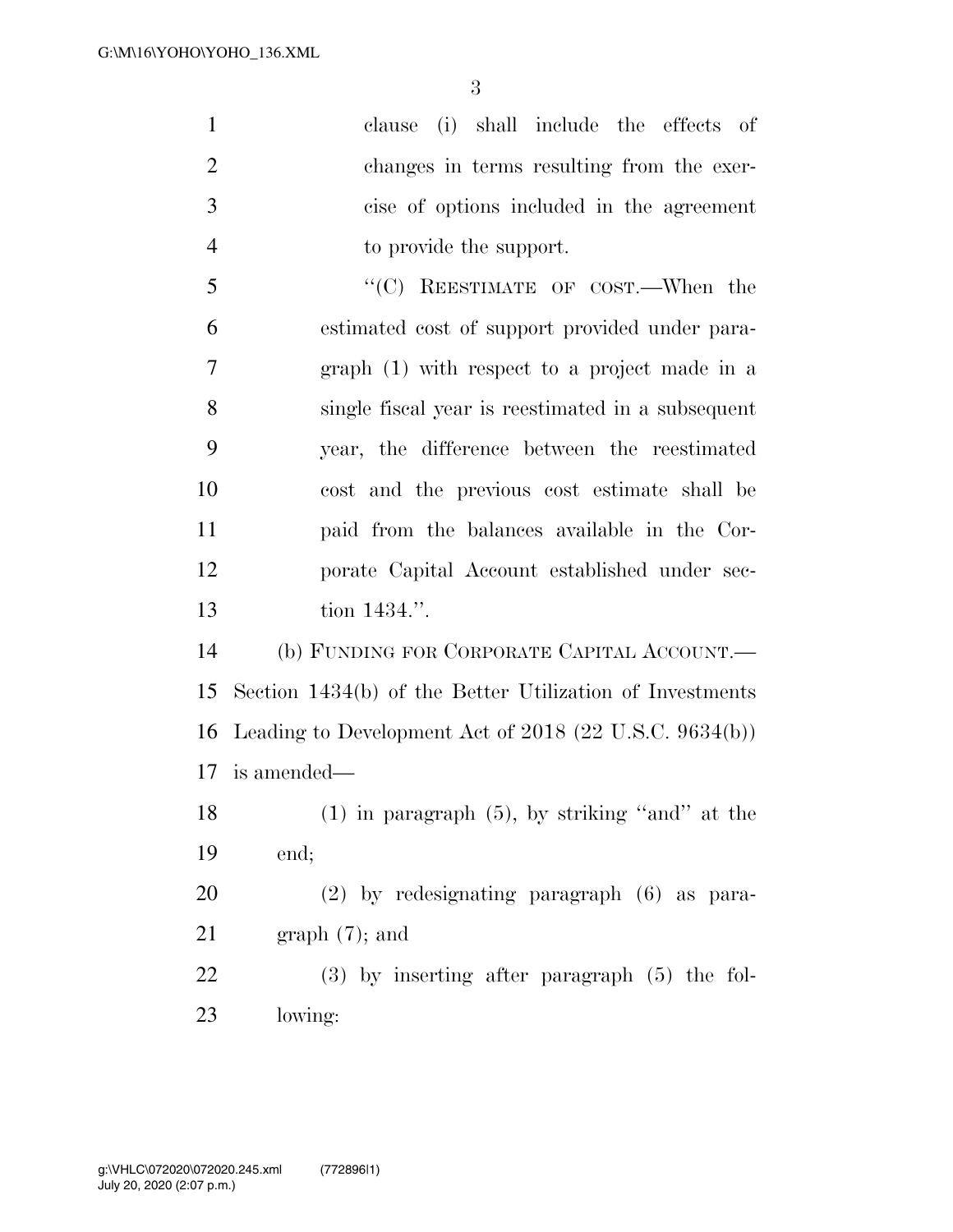| $\mathbf{1}$   | (i)<br>shall include the effects of<br>clause            |
|----------------|----------------------------------------------------------|
| $\overline{2}$ | changes in terms resulting from the exer-                |
| 3              | cise of options included in the agreement                |
| $\overline{4}$ | to provide the support.                                  |
| 5              | "(C) REESTIMATE OF COST.—When the                        |
| 6              | estimated cost of support provided under para-           |
| 7              | graph (1) with respect to a project made in a            |
| 8              | single fiscal year is reestimated in a subsequent        |
| 9              | year, the difference between the reestimated             |
| 10             | cost and the previous cost estimate shall be             |
| 11             | paid from the balances available in the Cor-             |
| 12             | porate Capital Account established under sec-            |
| 13             | tion 1434.".                                             |
| 14             | (b) FUNDING FOR CORPORATE CAPITAL ACCOUNT.               |
| 15             | Section 1434(b) of the Better Utilization of Investments |
| 16             | Leading to Development Act of $2018$ (22 U.S.C. 9634(b)) |
| 17             | is amended—                                              |
| 18             | $(1)$ in paragraph $(5)$ , by striking "and" at the      |
| 19             | end;                                                     |

 (2) by redesignating paragraph (6) as para-graph (7); and

 (3) by inserting after paragraph (5) the fol-lowing: